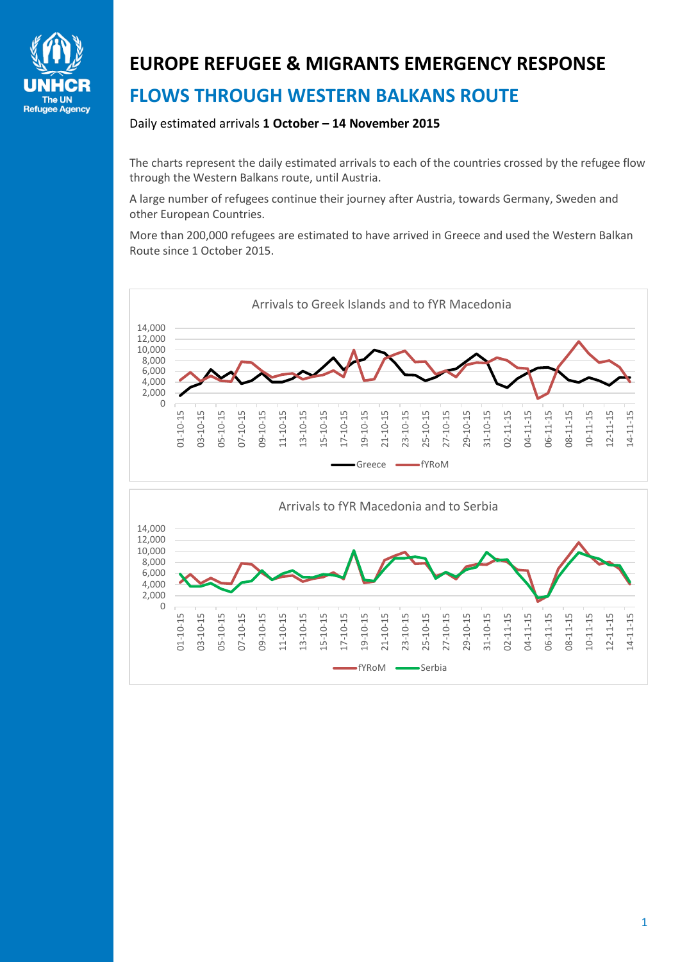

## **EUROPE REFUGEE & MIGRANTS EMERGENCY RESPONSE FLOWS THROUGH WESTERN BALKANS ROUTE**

## Daily estimated arrivals **1 October – 14 November 2015**

The charts represent the daily estimated arrivals to each of the countries crossed by the refugee flow through the Western Balkans route, until Austria.

A large number of refugees continue their journey after Austria, towards Germany, Sweden and other European Countries.

More than 200,000 refugees are estimated to have arrived in Greece and used the Western Balkan Route since 1 October 2015.